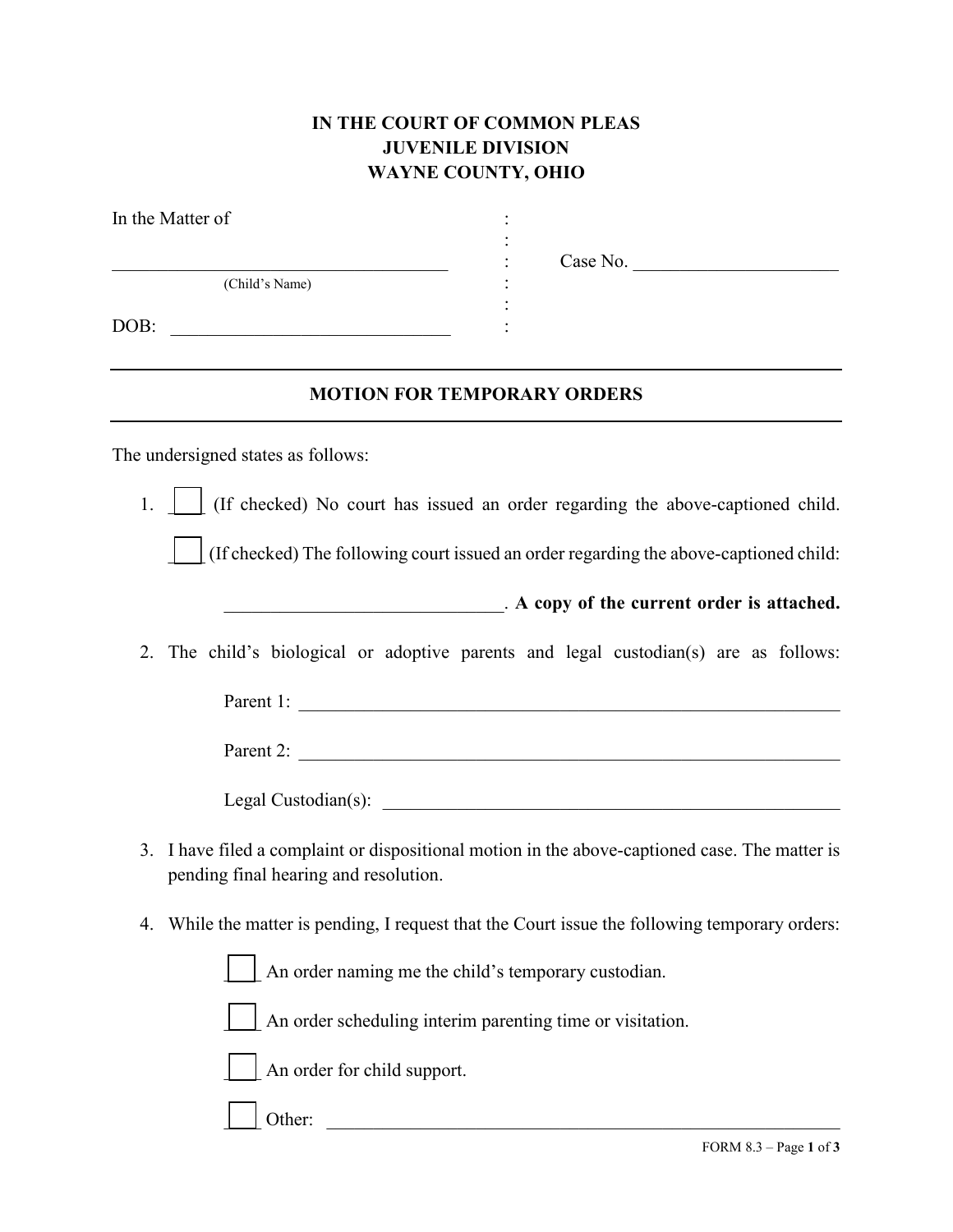## **IN THE COURT OF COMMON PLEAS JUVENILE DIVISION WAYNE COUNTY, OHIO**

| In the Matter of                                   |                                                                                             |  |
|----------------------------------------------------|---------------------------------------------------------------------------------------------|--|
| (Child's Name)                                     | Case No.                                                                                    |  |
| DOB:<br><u> 1989 - Johann John Stein, markin f</u> |                                                                                             |  |
| <b>MOTION FOR TEMPORARY ORDERS</b>                 |                                                                                             |  |
| The undersigned states as follows:                 |                                                                                             |  |
|                                                    | 1.     (If checked) No court has issued an order regarding the above-captioned child.       |  |
|                                                    | (If checked) The following court issued an order regarding the above-captioned child:       |  |
|                                                    | A copy of the current order is attached.                                                    |  |
| 2.                                                 | The child's biological or adoptive parents and legal custodian(s) are as follows:           |  |
|                                                    | Parent 1:                                                                                   |  |
|                                                    |                                                                                             |  |
|                                                    |                                                                                             |  |
| 3.<br>pending final hearing and resolution.        | I have filed a complaint or dispositional motion in the above-captioned case. The matter is |  |
| 4.                                                 | While the matter is pending, I request that the Court issue the following temporary orders: |  |
|                                                    | An order naming me the child's temporary custodian.                                         |  |
|                                                    | An order scheduling interim parenting time or visitation.                                   |  |
| An order for child support.                        |                                                                                             |  |
| Other:                                             |                                                                                             |  |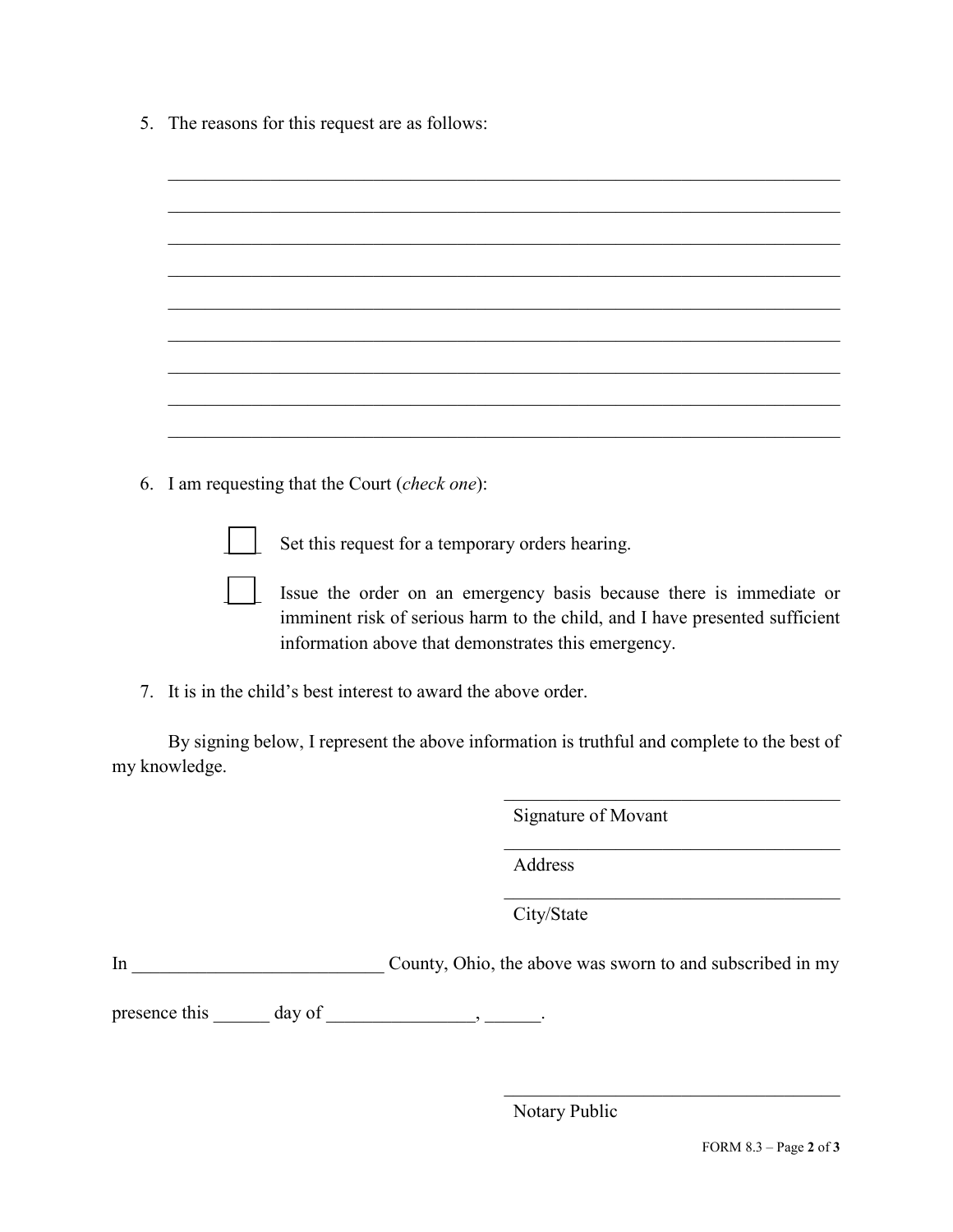5. The reasons for this request are as follows:

| 6. | I am requesting that the Court (check one):                                                                                                                                                               |
|----|-----------------------------------------------------------------------------------------------------------------------------------------------------------------------------------------------------------|
|    | Set this request for a temporary orders hearing.                                                                                                                                                          |
|    | Issue the order on an emergency basis because there is immediate or<br>imminent risk of serious harm to the child, and I have presented sufficient<br>information above that demonstrates this emergency. |
| 7. | It is in the child's best interest to award the above order.                                                                                                                                              |
|    | By signing below, I represent the above information is truthful and complete to the best of<br>my knowledge.                                                                                              |
|    | Signature of Movant                                                                                                                                                                                       |
|    |                                                                                                                                                                                                           |

Address

City/State

In \_\_\_\_\_\_\_\_\_\_\_\_\_\_\_\_\_\_\_\_\_\_\_\_\_\_\_ County, Ohio, the above was sworn to and subscribed in my

presence this  $\_\_\_\_\$  day of  $\_\_\_\_\_\_\$ .

Notary Public

 $\mathcal{L}_\mathcal{L}$